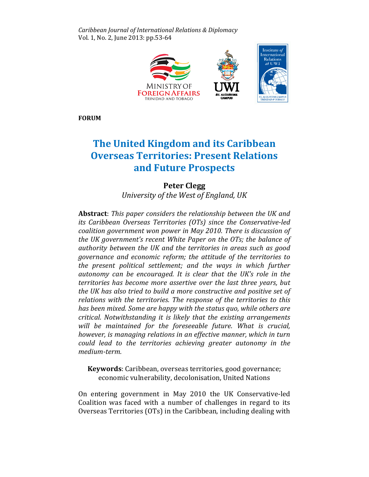Caribbean Journal of International Relations & & Diplomacy Vol. 1, No. 2, June 2013: pp.53-64



FORUM

# The United Kingdom and its Caribbean Caribbean Overseas Territories: Overseas Present Relations and Future Prospects

# Peter Clegg

University of the West of England, UK

Abstract: This paper considers the relationship between the UK and its Caribbean Overseas Territories (OTs) since the Conservative-led coalition government won power in May 2010. There is discussion of the UK government's recent White Paper on the OTs; the balance of authority between the UK and the territories in areas such as good governance and economic reform; the attitude of the territories to the present political settlement; and the ways in which further autonomy can be encouraged. It is clear that the UK's role in the territories has become more assertive over the last three years, but the UK has also tried to build a more constructive and positive set of relations with the territories. The response of the territories to this has been mixed. Some are happy with the status quo, while others are critical. Notwithstanding it is likely that the existing arrangements will be maintained for the foreseeable future. What is crucial, however, is managing relations in an effective manner, which in turn could lead to the territories achieving greater autonomy in the medium-term.

Keywords: Caribbean, overseas territories, good governance; economic vulnerability, decolonisation, United Nations United Nations

On entering government in May 2010 the UK Conservative-led Coalition was faced with a number of challenges in regard to its Overseas Territories (OTs) in the Caribbean, including dealing with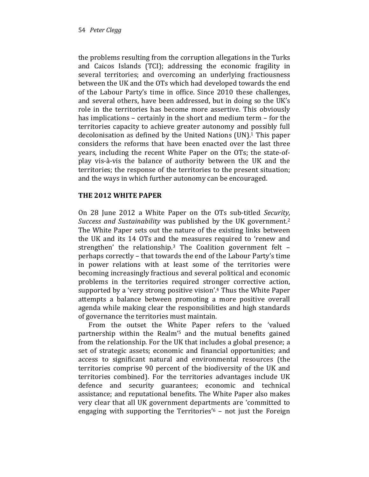the problems resulting from the corruption allegations in the Turks and Caicos Islands (TCI); addressing the economic fragility in several territories; and overcoming an underlying fractiousness between the UK and the OTs which had developed towards the end of the Labour Party's time in office. Since 2010 these challenges, and several others, have been addressed, but in doing so the UK's role in the territories has become more assertive. This obviously has implications – certainly in the short and medium term – for the territories capacity to achieve greater autonomy and possibly full decolonisation as defined by the United Nations (UN). <sup>1</sup> This paper considers the reforms that have been enacted over the last three years, including the recent White Paper on the OTs; the state-ofplay vis-à-vis the balance of authority between the UK and the territories; the response of the territories to the present situation; and the ways in which further autonomy can be encouraged.

# THE 2012 WHITE PAPER

On 28 June 2012 a White Paper on the OTs sub-titled Security, Success and Sustainability was published by the UK government.<sup>2</sup> The White Paper sets out the nature of the existing links between the UK and its 14 OTs and the measures required to 'renew and strengthen' the relationship.<sup>3</sup> The Coalition government felt  $$ perhaps correctly – that towards the end of the Labour Party's time in power relations with at least some of the territories were becoming increasingly fractious and several political and economic problems in the territories required stronger corrective action, supported by a 'very strong positive vision'.4 Thus the White Paper attempts a balance between promoting a more positive overall agenda while making clear the responsibilities and high standards of governance the territories must maintain.

From the outset the White Paper refers to the 'valued partnership within the Realm'5 and the mutual benefits gained from the relationship. For the UK that includes a global presence; a set of strategic assets; economic and financial opportunities; and access to significant natural and environmental resources (the territories comprise 90 percent of the biodiversity of the UK and territories combined). For the territories advantages include UK defence and security guarantees; economic and technical assistance; and reputational benefits. The White Paper also makes very clear that all UK government departments are 'committed to engaging with supporting the Territories'6 – not just the Foreign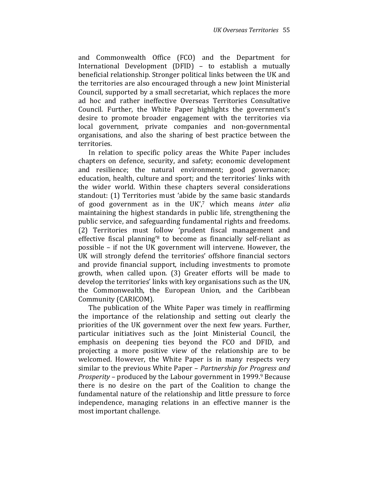and Commonwealth Office (FCO) and the Department for International Development (DFID) – to establish a mutually beneficial relationship. Stronger political links between the UK and the territories are also encouraged through a new Joint Ministerial Council, supported by a small secretariat, which replaces the more ad hoc and rather ineffective Overseas Territories Consultative Council. Further, the White Paper highlights the government's desire to promote broader engagement with the territories via local government, private companies and non-governmental organisations, and also the sharing of best practice between the territories.

In relation to specific policy areas the White Paper includes chapters on defence, security, and safety; economic development and resilience; the natural environment; good governance; education, health, culture and sport; and the territories' links with the wider world. Within these chapters several considerations standout: (1) Territories must 'abide by the same basic standards of good government as in the  $UK<sub>1</sub><sup>7</sup>$  which means inter alia maintaining the highest standards in public life, strengthening the public service, and safeguarding fundamental rights and freedoms. (2) Territories must follow 'prudent fiscal management and effective fiscal planning'8 to become as financially self-reliant as possible – if not the UK government will intervene. However, the UK will strongly defend the territories' offshore financial sectors and provide financial support, including investments to promote growth, when called upon. (3) Greater efforts will be made to develop the territories' links with key organisations such as the UN, the Commonwealth, the European Union, and the Caribbean Community (CARICOM).

The publication of the White Paper was timely in reaffirming the importance of the relationship and setting out clearly the priorities of the UK government over the next few years. Further, particular initiatives such as the Joint Ministerial Council, the emphasis on deepening ties beyond the FCO and DFID, and projecting a more positive view of the relationship are to be welcomed. However, the White Paper is in many respects very similar to the previous White Paper – Partnership for Progress and *Prosperity* – produced by the Labour government in  $1999.9$  Because there is no desire on the part of the Coalition to change the fundamental nature of the relationship and little pressure to force independence, managing relations in an effective manner is the most important challenge.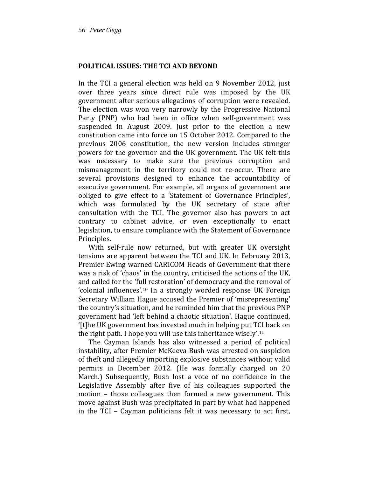### POLITICAL ISSUES: THE TCI AND BEYOND

In the TCI a general election was held on 9 November 2012, just over three years since direct rule was imposed by the UK government after serious allegations of corruption were revealed. The election was won very narrowly by the Progressive National Party (PNP) who had been in office when self-government was suspended in August 2009. Just prior to the election a new constitution came into force on 15 October 2012. Compared to the previous 2006 constitution, the new version includes stronger powers for the governor and the UK government. The UK felt this was necessary to make sure the previous corruption and mismanagement in the territory could not re-occur. There are several provisions designed to enhance the accountability of executive government. For example, all organs of government are obliged to give effect to a 'Statement of Governance Principles', which was formulated by the UK secretary of state after consultation with the TCI. The governor also has powers to act contrary to cabinet advice, or even exceptionally to enact legislation, to ensure compliance with the Statement of Governance Principles.

With self-rule now returned, but with greater UK oversight tensions are apparent between the TCI and UK. In February 2013, Premier Ewing warned CARICOM Heads of Government that there was a risk of 'chaos' in the country, criticised the actions of the UK, and called for the 'full restoration' of democracy and the removal of 'colonial influences'.10 In a strongly worded response UK Foreign Secretary William Hague accused the Premier of 'misrepresenting' the country's situation, and he reminded him that the previous PNP government had 'left behind a chaotic situation'. Hague continued, '[t]he UK government has invested much in helping put TCI back on the right path. I hope you will use this inheritance wisely'.<sup>11</sup>

The Cayman Islands has also witnessed a period of political instability, after Premier McKeeva Bush was arrested on suspicion of theft and allegedly importing explosive substances without valid permits in December 2012. (He was formally charged on 20 March.) Subsequently, Bush lost a vote of no confidence in the Legislative Assembly after five of his colleagues supported the motion – those colleagues then formed a new government. This move against Bush was precipitated in part by what had happened in the TCI – Cayman politicians felt it was necessary to act first,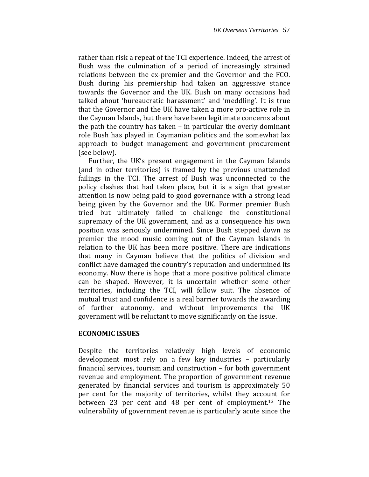rather than risk a repeat of the TCI experience. Indeed, the arrest of Bush was the culmination of a period of increasingly strained relations between the ex-premier and the Governor and the FCO. Bush during his premiership had taken an aggressive stance towards the Governor and the UK. Bush on many occasions had talked about 'bureaucratic harassment' and 'meddling'. It is true that the Governor and the UK have taken a more pro-active role in the Cayman Islands, but there have been legitimate concerns about the path the country has taken – in particular the overly dominant role Bush has played in Caymanian politics and the somewhat lax approach to budget management and government procurement (see below).

Further, the UK's present engagement in the Cayman Islands (and in other territories) is framed by the previous unattended failings in the TCI. The arrest of Bush was unconnected to the policy clashes that had taken place, but it is a sign that greater attention is now being paid to good governance with a strong lead being given by the Governor and the UK. Former premier Bush tried but ultimately failed to challenge the constitutional supremacy of the UK government, and as a consequence his own position was seriously undermined. Since Bush stepped down as premier the mood music coming out of the Cayman Islands in relation to the UK has been more positive. There are indications that many in Cayman believe that the politics of division and conflict have damaged the country's reputation and undermined its economy. Now there is hope that a more positive political climate can be shaped. However, it is uncertain whether some other territories, including the TCI, will follow suit. The absence of mutual trust and confidence is a real barrier towards the awarding of further autonomy, and without improvements the UK government will be reluctant to move significantly on the issue.

#### ECONOMIC ISSUES

Despite the territories relatively high levels of economic development most rely on a few key industries – particularly financial services, tourism and construction – for both government revenue and employment. The proportion of government revenue generated by financial services and tourism is approximately 50 per cent for the majority of territories, whilst they account for between 23 per cent and 48 per cent of employment.12 The vulnerability of government revenue is particularly acute since the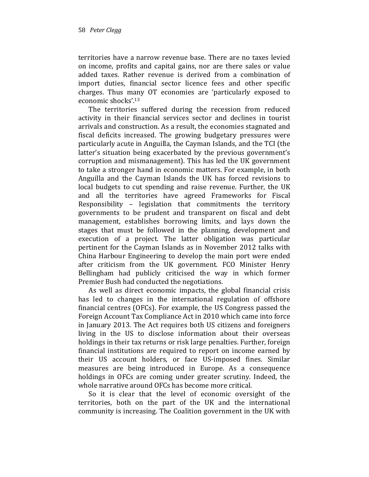territories have a narrow revenue base. There are no taxes levied on income, profits and capital gains, nor are there sales or value added taxes. Rather revenue is derived from a combination of import duties, financial sector licence fees and other specific charges. Thus many OT economies are 'particularly exposed to economic shocks'.<sup>13</sup>

The territories suffered during the recession from reduced activity in their financial services sector and declines in tourist arrivals and construction. As a result, the economies stagnated and fiscal deficits increased. The growing budgetary pressures were particularly acute in Anguilla, the Cayman Islands, and the TCI (the latter's situation being exacerbated by the previous government's corruption and mismanagement). This has led the UK government to take a stronger hand in economic matters. For example, in both Anguilla and the Cayman Islands the UK has forced revisions to local budgets to cut spending and raise revenue. Further, the UK and all the territories have agreed Frameworks for Fiscal Responsibility – legislation that commitments the territory governments to be prudent and transparent on fiscal and debt management, establishes borrowing limits, and lays down the stages that must be followed in the planning, development and execution of a project. The latter obligation was particular pertinent for the Cayman Islands as in November 2012 talks with China Harbour Engineering to develop the main port were ended after criticism from the UK government. FCO Minister Henry Bellingham had publicly criticised the way in which former Premier Bush had conducted the negotiations.

As well as direct economic impacts, the global financial crisis has led to changes in the international regulation of offshore financial centres (OFCs). For example, the US Congress passed the Foreign Account Tax Compliance Act in 2010 which came into force in January 2013. The Act requires both US citizens and foreigners living in the US to disclose information about their overseas holdings in their tax returns or risk large penalties. Further, foreign financial institutions are required to report on income earned by their US account holders, or face US-imposed fines. Similar measures are being introduced in Europe. As a consequence holdings in OFCs are coming under greater scrutiny. Indeed, the whole narrative around OFCs has become more critical.

So it is clear that the level of economic oversight of the territories, both on the part of the UK and the international community is increasing. The Coalition government in the UK with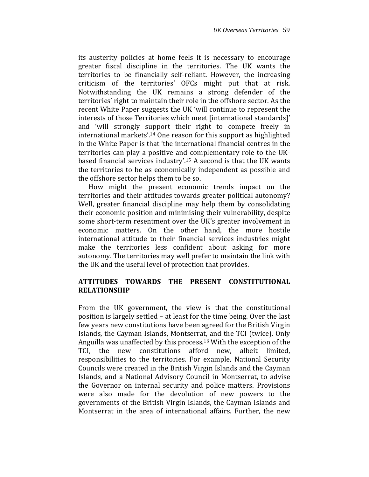its austerity policies at home feels it is necessary to encourage greater fiscal discipline in the territories. The UK wants the territories to be financially self-reliant. However, the increasing criticism of the territories' OFCs might put that at risk. Notwithstanding the UK remains a strong defender of the territories' right to maintain their role in the offshore sector. As the recent White Paper suggests the UK 'will continue to represent the interests of those Territories which meet [international standards]' and 'will strongly support their right to compete freely in international markets'.14 One reason for this support as highlighted in the White Paper is that 'the international financial centres in the territories can play a positive and complementary role to the UKbased financial services industry'.15 A second is that the UK wants the territories to be as economically independent as possible and the offshore sector helps them to be so.

How might the present economic trends impact on the territories and their attitudes towards greater political autonomy? Well, greater financial discipline may help them by consolidating their economic position and minimising their vulnerability, despite some short-term resentment over the UK's greater involvement in economic matters. On the other hand, the more hostile international attitude to their financial services industries might make the territories less confident about asking for more autonomy. The territories may well prefer to maintain the link with the UK and the useful level of protection that provides.

## ATTITUDES TOWARDS THE PRESENT CONSTITUTIONAL RELATIONSHIP

From the UK government, the view is that the constitutional position is largely settled – at least for the time being. Over the last few years new constitutions have been agreed for the British Virgin Islands, the Cayman Islands, Montserrat, and the TCI (twice). Only Anguilla was unaffected by this process.16 With the exception of the TCI, the new constitutions afford new, albeit limited, responsibilities to the territories. For example, National Security Councils were created in the British Virgin Islands and the Cayman Islands, and a National Advisory Council in Montserrat, to advise the Governor on internal security and police matters. Provisions were also made for the devolution of new powers to the governments of the British Virgin Islands, the Cayman Islands and Montserrat in the area of international affairs. Further, the new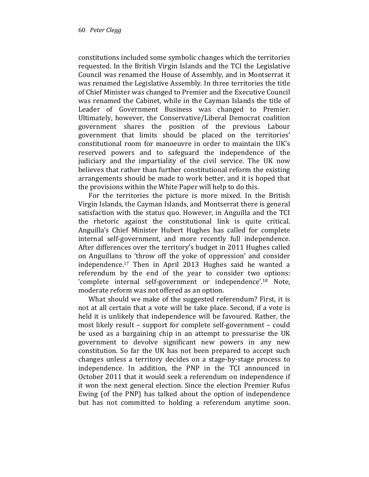constitutions included some symbolic changes which the territories requested. In the British Virgin Islands and the TCI the Legislative Council was renamed the House of Assembly, and in Montserrat it was renamed the Legislative Assembly. In three territories the title of Chief Minister was changed to Premier and the Executive Council was renamed the Cabinet, while in the Cayman Islands the title of Leader of Government Business was changed to Premier. Ultimately, however, the Conservative/Liberal Democrat coalition government shares the position of the previous Labour government that limits should be placed on the territories' constitutional room for manoeuvre in order to maintain the UK's reserved powers and to safeguard the independence of the judiciary and the impartiality of the civil service. The UK now believes that rather than further constitutional reform the existing arrangements should be made to work better, and it is hoped that the provisions within the White Paper will help to do this.

For the territories the picture is more mixed. In the British Virgin Islands, the Cayman Islands, and Montserrat there is general satisfaction with the status quo. However, in Anguilla and the TCI the rhetoric against the constitutional link is quite critical. Anguilla's Chief Minister Hubert Hughes has called for complete internal self-government, and more recently full independence. After differences over the territory's budget in 2011 Hughes called on Anguillans to 'throw off the yoke of oppression' and consider independence.17 Then in April 2013 Hughes said he wanted a referendum by the end of the year to consider two options: 'complete internal self-government or independence'.18 Note, moderate reform was not offered as an option.

What should we make of the suggested referendum? First, it is not at all certain that a vote will be take place. Second, if a vote is held it is unlikely that independence will be favoured. Rather, the most likely result – support for complete self-government – could be used as a bargaining chip in an attempt to pressurise the UK government to devolve significant new powers in any new constitution. So far the UK has not been prepared to accept such changes unless a territory decides on a stage-by-stage process to independence. In addition, the PNP in the TCI announced in October 2011 that it would seek a referendum on independence if it won the next general election. Since the election Premier Rufus Ewing (of the PNP) has talked about the option of independence but has not committed to holding a referendum anytime soon.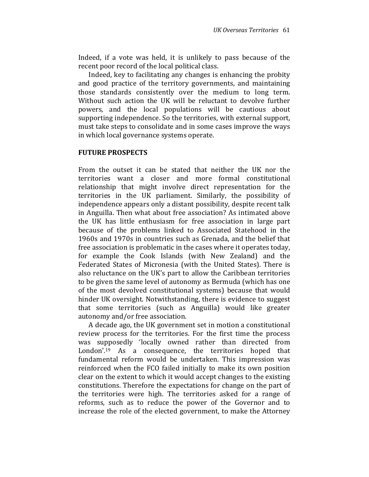Indeed, if a vote was held, it is unlikely to pass because of the recent poor record of the local political class.

Indeed, key to facilitating any changes is enhancing the probity and good practice of the territory governments, and maintaining those standards consistently over the medium to long term. Without such action the UK will be reluctant to devolve further powers, and the local populations will be cautious about supporting independence. So the territories, with external support, must take steps to consolidate and in some cases improve the ways in which local governance systems operate.

#### FUTURE PROSPECTS

From the outset it can be stated that neither the UK nor the territories want a closer and more formal constitutional relationship that might involve direct representation for the territories in the UK parliament. Similarly, the possibility of independence appears only a distant possibility, despite recent talk in Anguilla. Then what about free association? As intimated above the UK has little enthusiasm for free association in large part because of the problems linked to Associated Statehood in the 1960s and 1970s in countries such as Grenada, and the belief that free association is problematic in the cases where it operates today, for example the Cook Islands (with New Zealand) and the Federated States of Micronesia (with the United States). There is also reluctance on the UK's part to allow the Caribbean territories to be given the same level of autonomy as Bermuda (which has one of the most devolved constitutional systems) because that would hinder UK oversight. Notwithstanding, there is evidence to suggest that some territories (such as Anguilla) would like greater autonomy and/or free association.

A decade ago, the UK government set in motion a constitutional review process for the territories. For the first time the process was supposedly 'locally owned rather than directed from London'.<sup>19</sup> As a consequence, the territories hoped that fundamental reform would be undertaken. This impression was reinforced when the FCO failed initially to make its own position clear on the extent to which it would accept changes to the existing constitutions. Therefore the expectations for change on the part of the territories were high. The territories asked for a range of reforms, such as to reduce the power of the Governor and to increase the role of the elected government, to make the Attorney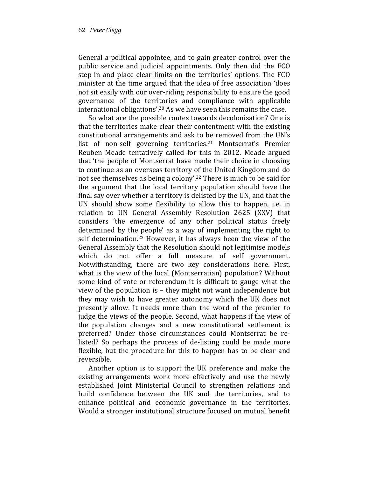General a political appointee, and to gain greater control over the public service and judicial appointments. Only then did the FCO step in and place clear limits on the territories' options. The FCO minister at the time argued that the idea of free association 'does not sit easily with our over-riding responsibility to ensure the good governance of the territories and compliance with applicable international obligations'.20 As we have seen this remains the case.

So what are the possible routes towards decolonisation? One is that the territories make clear their contentment with the existing constitutional arrangements and ask to be removed from the UN's list of non-self governing territories.<sup>21</sup> Montserrat's Premier Reuben Meade tentatively called for this in 2012. Meade argued that 'the people of Montserrat have made their choice in choosing to continue as an overseas territory of the United Kingdom and do not see themselves as being a colony'.22 There is much to be said for the argument that the local territory population should have the final say over whether a territory is delisted by the UN, and that the UN should show some flexibility to allow this to happen, i.e. in relation to UN General Assembly Resolution 2625 (XXV) that considers 'the emergence of any other political status freely determined by the people' as a way of implementing the right to self determination.<sup>23</sup> However, it has always been the view of the General Assembly that the Resolution should not legitimise models which do not offer a full measure of self government. Notwithstanding, there are two key considerations here. First, what is the view of the local (Montserratian) population? Without some kind of vote or referendum it is difficult to gauge what the view of the population is – they might not want independence but they may wish to have greater autonomy which the UK does not presently allow. It needs more than the word of the premier to judge the views of the people. Second, what happens if the view of the population changes and a new constitutional settlement is preferred? Under those circumstances could Montserrat be relisted? So perhaps the process of de-listing could be made more flexible, but the procedure for this to happen has to be clear and reversible.

Another option is to support the UK preference and make the existing arrangements work more effectively and use the newly established Joint Ministerial Council to strengthen relations and build confidence between the UK and the territories, and to enhance political and economic governance in the territories. Would a stronger institutional structure focused on mutual benefit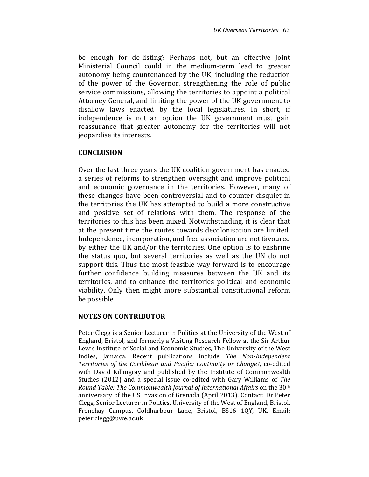be enough for de-listing? Perhaps not, but an effective Joint Ministerial Council could in the medium-term lead to greater autonomy being countenanced by the UK, including the reduction of the power of the Governor, strengthening the role of public service commissions, allowing the territories to appoint a political Attorney General, and limiting the power of the UK government to disallow laws enacted by the local legislatures. In short, if independence is not an option the UK government must gain reassurance that greater autonomy for the territories will not jeopardise its interests.

#### **CONCLUSION**

Over the last three years the UK coalition government has enacted a series of reforms to strengthen oversight and improve political and economic governance in the territories. However, many of these changes have been controversial and to counter disquiet in the territories the UK has attempted to build a more constructive and positive set of relations with them. The response of the territories to this has been mixed. Notwithstanding, it is clear that at the present time the routes towards decolonisation are limited. Independence, incorporation, and free association are not favoured by either the UK and/or the territories. One option is to enshrine the status quo, but several territories as well as the UN do not support this. Thus the most feasible way forward is to encourage further confidence building measures between the UK and its territories, and to enhance the territories political and economic viability. Only then might more substantial constitutional reform be possible.

#### NOTES ON CONTRIBUTOR

Peter Clegg is a Senior Lecturer in Politics at the University of the West of England, Bristol, and formerly a Visiting Research Fellow at the Sir Arthur Lewis Institute of Social and Economic Studies, The University of the West Indies, Jamaica. Recent publications include The Non-Independent Territories of the Caribbean and Pacific: Continuity or Change?, co-edited with David Killingray and published by the Institute of Commonwealth Studies (2012) and a special issue co-edited with Gary Williams of The Round Table: The Commonwealth Journal of International Affairs on the 30<sup>th</sup> anniversary of the US invasion of Grenada (April 2013). Contact: Dr Peter Clegg, Senior Lecturer in Politics, University of the West of England, Bristol, Frenchay Campus, Coldharbour Lane, Bristol, BS16 1QY, UK. Email: peter.clegg@uwe.ac.uk